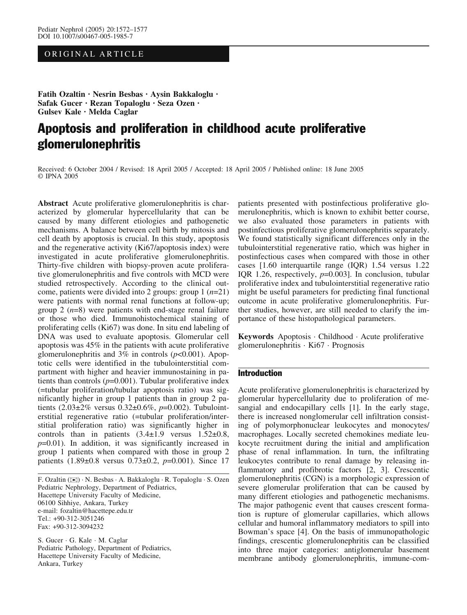# ORIGINAL ARTICLE

Fatih Ozaltin · Nesrin Besbas · Aysin Bakkaloglu · Safak Gucer · Rezan Topaloglu · Seza Ozen · Gulsev Kale · Melda Caglar

# Apoptosis and proliferation in childhood acute proliferative glomerulonephritis

Received: 6 October 2004 / Revised: 18 April 2005 / Accepted: 18 April 2005 / Published online: 18 June 2005  $\odot$  IPNA 2005

Abstract Acute proliferative glomerulonephritis is characterized by glomerular hypercellularity that can be caused by many different etiologies and pathogenetic mechanisms. A balance between cell birth by mitosis and cell death by apoptosis is crucial. In this study, apoptosis and the regenerative activity (Ki67/apoptosis index) were investigated in acute proliferative glomerulonephritis. Thirty-five children with biopsy-proven acute proliferative glomerulonephritis and five controls with MCD were studied retrospectively. According to the clinical outcome, patients were divided into 2 groups: group  $1$  ( $n=21$ ) were patients with normal renal functions at follow-up; group 2  $(n=8)$  were patients with end-stage renal failure or those who died. Immunohistochemical staining of proliferating cells (Ki67) was done. In situ end labeling of DNA was used to evaluate apoptosis. Glomerular cell apoptosis was 45% in the patients with acute proliferative glomerulonephritis and  $3\%$  in controls ( $p<0.001$ ). Apoptotic cells were identified in the tubulointerstitial compartment with higher and heavier immunostaining in patients than controls  $(p=0.001)$ . Tubular proliferative index (=tubular proliferation/tubular apoptosis ratio) was significantly higher in group 1 patients than in group 2 patients  $(2.03\pm2\%$  versus  $0.32\pm0.6\%$ ,  $p=0.002$ ). Tubulointerstitial regenerative ratio (=tubular proliferation/interstitial proliferation ratio) was significantly higher in controls than in patients  $(3.4\pm1.9 \text{ versus } 1.52\pm0.8,$  $p=0.01$ ). In addition, it was significantly increased in group 1 patients when compared with those in group 2 patients  $(1.89\pm0.8 \text{ versus } 0.73\pm0.2, p=0.001)$ . Since 17

F. Ozaltin (*)*) · N. Besbas · A. Bakkaloglu · R. Topaloglu · S. Ozen Pediatric Nephrology, Department of Pediatrics, Hacettepe University Faculty of Medicine, 06100 Sihhiye, Ankara, Turkey e-mail: fozaltin@hacettepe.edu.tr Tel.: +90-312-3051246 Fax: +90-312-3094232

S. Gucer · G. Kale · M. Caglar Pediatric Pathology, Department of Pediatrics, Hacettepe University Faculty of Medicine, Ankara, Turkey

patients presented with postinfectious proliferative glomerulonephritis, which is known to exhibit better course, we also evaluated those parameters in patients with postinfectious proliferative glomerulonephritis separately. We found statistically significant differences only in the tubulointerstitial regenerative ratio, which was higher in postinfectious cases when compared with those in other cases [1.60 interquartile range (IQR) 1.54 versus 1.22 IOR 1.26, respectively,  $p=0.003$ ]. In conclusion, tubular proliferative index and tubulointerstitial regenerative ratio might be useful parameters for predicting final functional outcome in acute proliferative glomerulonephritis. Further studies, however, are still needed to clarify the importance of these histopathological parameters.

Keywords Apoptosis · Childhood · Acute proliferative glomerulonephritis · Ki67 · Prognosis

## Introduction

Acute proliferative glomerulonephritis is characterized by glomerular hypercellularity due to proliferation of mesangial and endocapillary cells [1]. In the early stage, there is increased nonglomerular cell infiltration consisting of polymorphonuclear leukocytes and monocytes/ macrophages. Locally secreted chemokines mediate leukocyte recruitment during the initial and amplification phase of renal inflammation. In turn, the infiltrating leukocytes contribute to renal damage by releasing inflammatory and profibrotic factors [2, 3]. Crescentic glomerulonephritis (CGN) is a morphologic expression of severe glomerular proliferation that can be caused by many different etiologies and pathogenetic mechanisms. The major pathogenic event that causes crescent formation is rupture of glomerular capillaries, which allows cellular and humoral inflammatory mediators to spill into Bowman's space [4]. On the basis of immunopathologic findings, crescentic glomerulonephritis can be classified into three major categories: antiglomerular basement membrane antibody glomerulonephritis, immune-com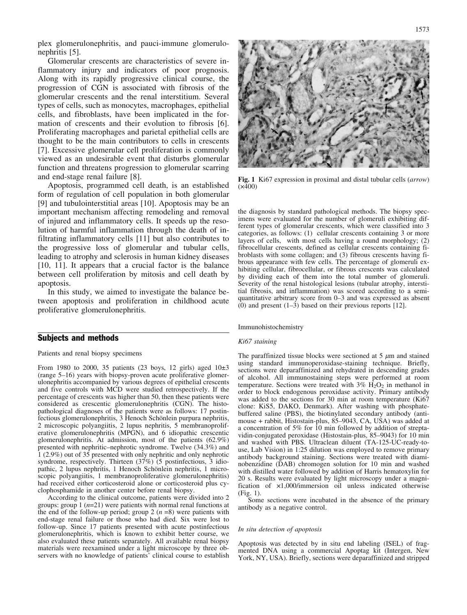plex glomerulonephritis, and pauci-immune glomerulonephritis [5].

Glomerular crescents are characteristics of severe inflammatory injury and indicators of poor prognosis. Along with its rapidly progressive clinical course, the progression of CGN is associated with fibrosis of the glomerular crescents and the renal interstitium. Several types of cells, such as monocytes, macrophages, epithelial cells, and fibroblasts, have been implicated in the formation of crescents and their evolution to fibrosis [6]. Proliferating macrophages and parietal epithelial cells are thought to be the main contributors to cells in crescents [7]. Excessive glomerular cell proliferation is commonly viewed as an undesirable event that disturbs glomerular function and threatens progression to glomerular scarring and end-stage renal failure [8].

Apoptosis, programmed cell death, is an established form of regulation of cell population in both glomerular [9] and tubulointerstitial areas [10]. Apoptosis may be an important mechanism affecting remodeling and removal of injured and inflammatory cells. It speeds up the resolution of harmful inflammation through the death of infiltrating inflammatory cells [11] but also contributes to the progressive loss of glomerular and tubular cells, leading to atrophy and sclerosis in human kidney diseases [10, 11]. It appears that a crucial factor is the balance between cell proliferation by mitosis and cell death by apoptosis.

In this study, we aimed to investigate the balance between apoptosis and proliferation in childhood acute proliferative glomerulonephritis.

## Subjects and methods

Patients and renal biopsy specimens

From 1980 to 2000, 35 patients (23 boys, 12 girls) aged  $10±3$ (range 5–16) years with biopsy-proven acute proliferative glomerulonephritis accompanied by various degrees of epithelial crescents and five controls with MCD were studied retrospectively. If the percentage of crescents was higher than 50, then these patients were considered as crescentic glomerulonephritis (CGN). The histopathological diagnoses of the patients were as follows: 17 postinfectious glomerulonephritis, 3 Henoch Schönlein purpura nephritis, 2 microscopic polyangiitis, 2 lupus nephritis, 5 membranoproliferative glomerulonephritis (MPGN), and 6 idiopathic crescentic glomerulonephritis. At admission, most of the patients (62.9%) presented with nephritic–nephrotic syndrome. Twelve (34.3%) and 1 (2.9%) out of 35 presented with only nephritic and only nephrotic syndrome, respectively. Thirteen (37%) (5 postinfectious, 3 idiopathic, 2 lupus nephritis, 1 Henoch Schönlein nephritis, 1 microscopic polyangiitis, 1 membranoproliferative glomerulonephritis) had received either corticosteroid alone or corticosteroid plus cyclophosphamide in another center before renal biopsy.

According to the clinical outcome, patients were divided into 2 groups: group 1  $(n=21)$  were patients with normal renal functions at the end of the follow-up period; group 2  $(n = 8)$  were patients with end-stage renal failure or those who had died. Six were lost to follow-up. Since 17 patients presented with acute postinfectious glomerulonephritis, which is known to exhibit better course, we also evaluated these patients separately. All available renal biopsy materials were reexamined under a light microscope by three observers with no knowledge of patients' clinical course to establish



Fig. 1 Ki67 expression in proximal and distal tubular cells (arrow)  $(x400)$ 

the diagnosis by standard pathological methods. The biopsy specimens were evaluated for the number of glomeruli exhibiting different types of glomerular crescents, which were classified into 3 categories, as follows: (1) cellular crescents containing 3 or more layers of cells, with most cells having a round morphology; (2) fibrocellular crescents, defined as cellular crescents containing fibroblasts with some collagen; and (3) fibrous crescents having fibrous appearance with few cells. The percentage of glomeruli exhibiting cellular, fibrocellular, or fibrous crescents was calculated by dividing each of them into the total number of glomeruli. Severity of the renal histological lesions (tubular atrophy, interstitial fibrosis, and inflammation) was scored according to a semiquantitative arbitrary score from 0–3 and was expressed as absent  $(0)$  and present  $(1-3)$  based on their previous reports [12].

Immunohistochemistry

#### Ki67 staining

The paraffinized tissue blocks were sectioned at  $5 \mu m$  and stained using standard immunoperoxidase-staining technique. Briefly, sections were deparaffinized and rehydrated in descending grades of alcohol. All immunostaining steps were performed at room temperature. Sections were treated with  $3\%$  H<sub>2</sub>O<sub>2</sub> in methanol in order to block endogenous peroxidase activity. Primary antibody was added to the sections for 30 min at room temperature (Ki67 clone: KiS5, DAKO, Denmark). After washing with phosphatebuffered saline (PBS), the biotinylated secondary antibody (antimouse + rabbit, Histostain-plus, 85–9043, CA, USA) was added at a concentration of 5% for 10 min followed by addition of streptavidin-conjugated peroxidase (Histostain-plus, 85–9043) for 10 min and washed with PBS. Ultraclean diluent (TA-125-UC-ready-touse, Lab Vision) in 1:25 dilution was employed to remove primary antibody background staining. Sections were treated with diaminobenzidine (DAB) chromogen solution for 10 min and washed with distilled water followed by addition of Harris hematoxylin for 20 s. Results were evaluated by light microscopy under a magnification of  $\times 1,000$ /immersion oil unless indicated otherwise (Fig. 1).

Some sections were incubated in the absence of the primary antibody as a negative control.

#### In situ detection of apoptosis

Apoptosis was detected by in situ end labeling (ISEL) of fragmented DNA using a commercial Apoptag kit (Intergen, New York, NY, USA). Briefly, sections were deparaffinized and stripped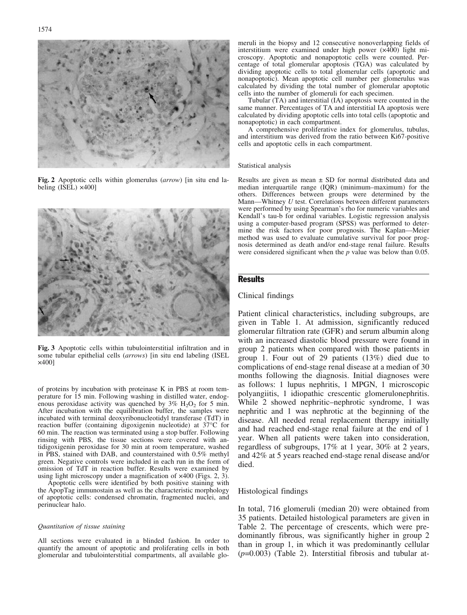Fig. 2 Apoptotic cells within glomerulus (arrow) [in situ end labeling (ISEL) ×400]

Fig. 3 Apoptotic cells within tubulointerstitial infiltration and in some tubular epithelial cells (arrows) [in situ end labeling (ISEL  $\times$ 400]

of proteins by incubation with proteinase K in PBS at room temperature for 15 min. Following washing in distilled water, endogenous peroxidase activity was quenched by  $3\%$  H<sub>2</sub>O<sub>2</sub> for 5 min. After incubation with the equilibration buffer, the samples were incubated with terminal deoxyribonucleotidyl transferase (TdT) in reaction buffer (containing digoxigenin nucleotide) at  $37^{\circ}$ C for 60 min. The reaction was terminated using a stop buffer. Following rinsing with PBS, the tissue sections were covered with antidigoxigenin peroxidase for 30 min at room temperature, washed in PBS, stained with DAB, and counterstained with 0.5% methyl green. Negative controls were included in each run in the form of omission of TdT in reaction buffer. Results were examined by using light microscopy under a magnification of  $\times$ 400 (Figs. 2, 3).

Apoptotic cells were identified by both positive staining with the ApopTag immunostain as well as the characteristic morphology of apoptotic cells: condensed chromatin, fragmented nuclei, and perinuclear halo.

#### Quantitation of tissue staining

All sections were evaluated in a blinded fashion. In order to quantify the amount of apoptotic and proliferating cells in both glomerular and tubulointerstitial compartments, all available glo-

meruli in the biopsy and 12 consecutive nonoverlapping fields of interstitium were examined under high power ( $\times$ 400) light microscopy. Apoptotic and nonapoptotic cells were counted. Percentage of total glomerular apoptosis (TGA) was calculated by dividing apoptotic cells to total glomerular cells (apoptotic and nonapoptotic). Mean apoptotic cell number per glomerulus was calculated by dividing the total number of glomerular apoptotic cells into the number of glomeruli for each specimen.

Tubular (TA) and interstitial (IA) apoptosis were counted in the same manner. Percentages of TA and interstitial IA apoptosis were calculated by dividing apoptotic cells into total cells (apoptotic and nonapoptotic) in each compartment.

A comprehensive proliferative index for glomerulus, tubulus, and interstitium was derived from the ratio between Ki67-positive cells and apoptotic cells in each compartment.

#### Statistical analysis

Results are given as mean  $\pm$  SD for normal distributed data and median interquartile range (IQR) (minimum–maximum) for the others. Differences between groups were determined by the Mann—Whitney U test. Correlations between different parameters were performed by using Spearman's rho for numeric variables and Kendall's tau-b for ordinal variables. Logistic regression analysis using a computer-based program (SPSS) was performed to determine the risk factors for poor prognosis. The Kaplan—Meier method was used to evaluate cumulative survival for poor prognosis determined as death and/or end-stage renal failure. Results were considered significant when the  $p$  value was below than 0.05.

#### Results

### Clinical findings

Patient clinical characteristics, including subgroups, are given in Table 1. At admission, significantly reduced glomerular filtration rate (GFR) and serum albumin along with an increased diastolic blood pressure were found in group 2 patients when compared with those patients in group 1. Four out of 29 patients (13%) died due to complications of end-stage renal disease at a median of 30 months following the diagnosis. Initial diagnoses were as follows: 1 lupus nephritis, 1 MPGN, 1 microscopic polyangiitis, 1 idiopathic crescentic glomerulonephritis. While 2 showed nephritic–nephrotic syndrome, 1 was nephritic and 1 was nephrotic at the beginning of the disease. All needed renal replacement therapy initially and had reached end-stage renal failure at the end of 1 year. When all patients were taken into consideration, regardless of subgroups, 17% at 1 year, 30% at 2 years, and 42% at 5 years reached end-stage renal disease and/or died.

### Histological findings

In total, 716 glomeruli (median 20) were obtained from 35 patients. Detailed histological parameters are given in Table 2. The percentage of crescents, which were predominantly fibrous, was significantly higher in group 2 than in group 1, in which it was predominantly cellular  $(p=0.003)$  (Table 2). Interstitial fibrosis and tubular at-

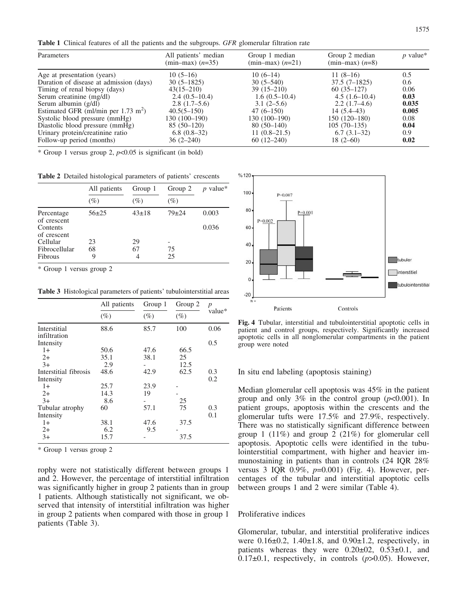Table 1 Clinical features of all the patients and the subgroups. GFR glomerular filtration rate

| Parameters                                     | All patients' median<br>$(min-max)$ $(n=35)$ | Group 1 median<br>$(min-max)$ $(n=21)$ | Group 2 median<br>$(min-max)$ $(n=8)$ | $p$ value* |
|------------------------------------------------|----------------------------------------------|----------------------------------------|---------------------------------------|------------|
| Age at presentation (years)                    | $10(5-16)$                                   | $10(6-14)$                             | $11(8-16)$                            | 0.5        |
| Duration of disease at admission (days)        | $30(5-1825)$                                 | $30(5-540)$                            | $37.5(7-1825)$                        | 0.6        |
| Timing of renal biopsy (days)                  | $43(15 - 210)$                               | $39(15-210)$                           | $60(35-127)$                          | 0.06       |
| Serum creatinine (mg/dl)                       | $2.4(0.5-10.4)$                              | $1.6(0.5-10.4)$                        | $4.5(1.6-10.4)$                       | 0.03       |
| Serum albumin $(g/dl)$                         | $2.8(1.7-5.6)$                               | $3.1(2-5.6)$                           | $2.2(1.7-4.6)$                        | 0.035      |
| Estimated GFR (ml/min per $1.73 \text{ m}^2$ ) | $40.5(5-150)$                                | $47(6-150)$                            | $14(5.4-43)$                          | 0.005      |
| Systolic blood pressure (mmHg)                 | 130 (100–190)                                | 130 (100-190)                          | $150(120-180)$                        | 0.08       |
| Diastolic blood pressure (mmHg)                | $85(50-120)$                                 | $80(50-140)$                           | $105(70-135)$                         | 0.04       |
| Urinary protein/creatinine ratio               | $6.8(0.8-32)$                                | $11(0.8-21.5)$                         | $6.7(3.1-32)$                         | 0.9        |
| Follow-up period (months)                      | $36(2-240)$                                  | $60(12-240)$                           | $18(2-60)$                            | 0.02       |

\* Group 1 versus group 2,  $p<0.05$  is significant (in bold)

Table 2 Detailed histological parameters of patients' crescents

|                                                      | All patients  | Group 1     | Group 2   | $p$ value*     |
|------------------------------------------------------|---------------|-------------|-----------|----------------|
|                                                      | $(\%)$        | $(\%)$      | $(\%)$    |                |
| Percentage<br>of crescent<br>Contents<br>of crescent | $56+25$       | $43 \pm 18$ | $79 + 24$ | 0.003<br>0.036 |
| Cellular<br>Fibrocellular<br>Fibrous                 | 23<br>68<br>9 | 29<br>67    | 75<br>25  |                |

\* Group 1 versus group 2

Table 3 Histological parameters of patients' tubulointerstitial areas

|                              | All patients<br>$(\%)$ | Group 1<br>$(\%)$ | Group 2<br>$(\%)$ | $\boldsymbol{p}$<br>value* |
|------------------------------|------------------------|-------------------|-------------------|----------------------------|
|                              |                        |                   |                   |                            |
| Interstitial<br>infiltration | 88.6                   | 85.7              | 100               | 0.06                       |
| Intensity                    |                        |                   |                   | 0.5                        |
| $1+$                         | 50.6                   | 47.6              | 66.5              |                            |
| $2+$                         | 35.1                   | 38.1              | 25                |                            |
| $3+$                         | 2.9                    |                   | 12.5              |                            |
| Interstitial fibrosis        | 48.6                   | 42.9              | 62.5              | 0.3                        |
| Intensity                    |                        |                   |                   | 0.2                        |
| $1+$                         | 25.7                   | 23.9              |                   |                            |
| $2+$                         | 14.3                   | 19                |                   |                            |
| $3+$                         | 8.6                    |                   | 25                |                            |
| Tubular atrophy              | 60                     | 57.1              | 75                | 0.3                        |
| Intensity                    |                        |                   |                   | 0.1                        |
| $1+$                         | 38.1                   | 47.6              | 37.5              |                            |
| $2+$                         | 6.2                    | 9.5               |                   |                            |
| $3+$                         | 15.7                   |                   | 37.5              |                            |

\* Group 1 versus group 2

rophy were not statistically different between groups 1 and 2. However, the percentage of interstitial infiltration was significantly higher in group 2 patients than in group 1 patients. Although statistically not significant, we observed that intensity of interstitial infiltration was higher in group 2 patients when compared with those in group 1 patients (Table 3).



Fig. 4 Tubular, interstitial and tubulointerstitial apoptotic cells in patient and control groups, respectively. Significantly increased apoptotic cells in all nonglomerular compartments in the patient group were noted

#### In situ end labeling (apoptosis staining)

Median glomerular cell apoptosis was 45% in the patient group and only 3% in the control group  $(p<0.001)$ . In patient groups, apoptosis within the crescents and the glomerular tufts were 17.5% and 27.9%, respectively. There was no statistically significant difference between group 1 (11%) and group 2 (21%) for glomerular cell apoptosis. Apoptotic cells were identified in the tubulointerstitial compartment, with higher and heavier immunostaining in patients than in controls (24 IQR 28% versus 3 IQR  $0.9\%$ ,  $p=0.001$ ) (Fig. 4). However, percentages of the tubular and interstitial apoptotic cells between groups 1 and 2 were similar (Table 4).

## Proliferative indices

Glomerular, tubular, and interstitial proliferative indices were  $0.16\pm0.2$ , 1.40 $\pm1.8$ , and  $0.90\pm1.2$ , respectively, in patients whereas they were  $0.20\pm02$ ,  $0.53\pm0.1$ , and 0.17 $\pm$ 0.1, respectively, in controls ( $p$ >0.05). However,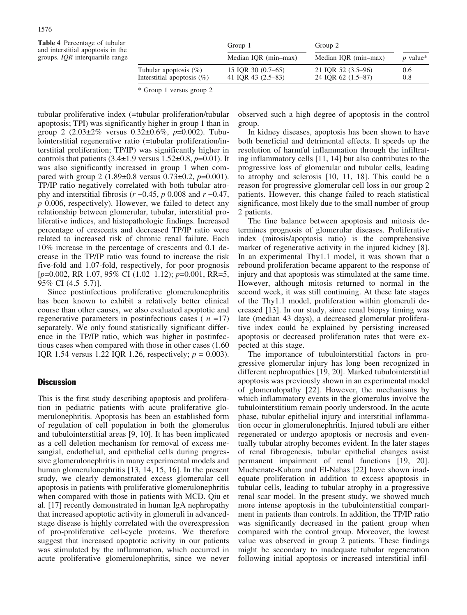Table 4 Percentage of tubular and interstitial apoptosis in the groups. IQR interquartile range

|                                                           | Group 1                                  | Group 2                                  |            |  |
|-----------------------------------------------------------|------------------------------------------|------------------------------------------|------------|--|
|                                                           | Median IQR (min-max)                     | Median IQR (min-max)                     | $p$ value* |  |
| Tubular apoptosis $(\%)$<br>Interstitial apoptosis $(\%)$ | 15 IQR 30 (0.7–65)<br>41 IOR 43 (2.5–83) | 21 IQR 52 (3.5–96)<br>24 IOR 62 (1.5–87) | 0.6<br>0.8 |  |

\* Group 1 versus group 2

tubular proliferative index (=tubular proliferation/tubular apoptosis; TPI) was significantly higher in group 1 than in group 2  $(2.03\pm2\% \text{ versus } 0.32\pm0.6\%, \text{ p=0.002}).$  Tubulointerstitial regenerative ratio (=tubular proliferation/interstitial proliferation; TP/IP) was significantly higher in controls that patients  $(3.4\pm1.9 \text{ versus } 1.52\pm0.8, p=0.01)$ . It was also significantly increased in group 1 when compared with group 2 (1.89 $\pm$ 0.8 versus 0.73 $\pm$ 0.2, p=0.001). TP/IP ratio negatively correlated with both tubular atrophy and interstitial fibrosis ( $r = 0.45$ , p 0.008 and  $r = 0.47$ , p 0.006, respectively). However, we failed to detect any relationship between glomerular, tubular, interstitial proliferative indices, and histopathologic findings. Increased percentage of crescents and decreased TP/IP ratio were related to increased risk of chronic renal failure. Each 10% increase in the percentage of crescents and 0.1 decrease in the TP/IP ratio was found to increase the risk five-fold and 1.07-fold, respectively, for poor prognosis  $[p=0.002, RR\ 1.07, 95\% \ CI\ (1.02-1.12); p=0.001, RR=5,$ 95% CI (4.5–5.7)].

Since postinfectious proliferative glomerulonephritis has been known to exhibit a relatively better clinical course than other causes, we also evaluated apoptotic and regenerative parameters in postinfectious cases ( $n = 17$ ) separately. We only found statistically significant difference in the TP/IP ratio, which was higher in postinfectious cases when compared with those in other cases (1.60 IQR 1.54 versus 1.22 IQR 1.26, respectively;  $p = 0.003$ ).

# **Discussion**

This is the first study describing apoptosis and proliferation in pediatric patients with acute proliferative glomerulonephritis. Apoptosis has been an established form of regulation of cell population in both the glomerulus and tubulointerstitial areas [9, 10]. It has been implicated as a cell deletion mechanism for removal of excess mesangial, endothelial, and epithelial cells during progressive glomerulonephritis in many experimental models and human glomerulonephritis [13, 14, 15, 16]. In the present study, we clearly demonstrated excess glomerular cell apoptosis in patients with proliferative glomerulonephritis when compared with those in patients with MCD. Qiu et al. [17] recently demonstrated in human IgA nephropathy that increased apoptotic activity in glomeruli in advancedstage disease is highly correlated with the overexpression of pro-proliferative cell-cycle proteins. We therefore suggest that increased apoptotic activity in our patients was stimulated by the inflammation, which occurred in acute proliferative glomerulonephritis, since we never

observed such a high degree of apoptosis in the control group.

In kidney diseases, apoptosis has been shown to have both beneficial and detrimental effects. It speeds up the resolution of harmful inflammation through the infiltrating inflammatory cells [11, 14] but also contributes to the progressive loss of glomerular and tubular cells, leading to atrophy and sclerosis [10, 11, 18]. This could be a reason for progressive glomerular cell loss in our group 2 patients. However, this change failed to reach statistical significance, most likely due to the small number of group 2 patients.

The fine balance between apoptosis and mitosis determines prognosis of glomerular diseases. Proliferative index (mitosis/apoptosis ratio) is the comprehensive marker of regenerative activity in the injured kidney [8]. In an experimental Thy1.1 model, it was shown that a rebound proliferation became apparent to the response of injury and that apoptosis was stimulated at the same time. However, although mitosis returned to normal in the second week, it was still continuing. At these late stages of the Thy1.1 model, proliferation within glomeruli decreased [13]. In our study, since renal biopsy timing was late (median 43 days), a decreased glomerular proliferative index could be explained by persisting increased apoptosis or decreased proliferation rates that were expected at this stage.

The importance of tubulointerstitial factors in progressive glomerular injury has long been recognized in different nephropathies [19, 20]. Marked tubulointerstitial apoptosis was previously shown in an experimental model of glomerulopathy [22]. However, the mechanisms by which inflammatory events in the glomerulus involve the tubulointerstitium remain poorly understood. In the acute phase, tubular epithelial injury and interstitial inflammation occur in glomerulonephritis. Injured tubuli are either regenerated or undergo apoptosis or necrosis and eventually tubular atrophy becomes evident. In the later stages of renal fibrogenesis, tubular epithelial changes assist permanent impairment of renal functions [19, 20]. Muchenate-Kubara and El-Nahas [22] have shown inadequate proliferation in addition to excess apoptosis in tubular cells, leading to tubular atrophy in a progressive renal scar model. In the present study, we showed much more intense apoptosis in the tubulointerstitial compartment in patients than controls. In addition, the TP/IP ratio was significantly decreased in the patient group when compared with the control group. Moreover, the lowest value was observed in group 2 patients. These findings might be secondary to inadequate tubular regeneration following initial apoptosis or increased interstitial infil